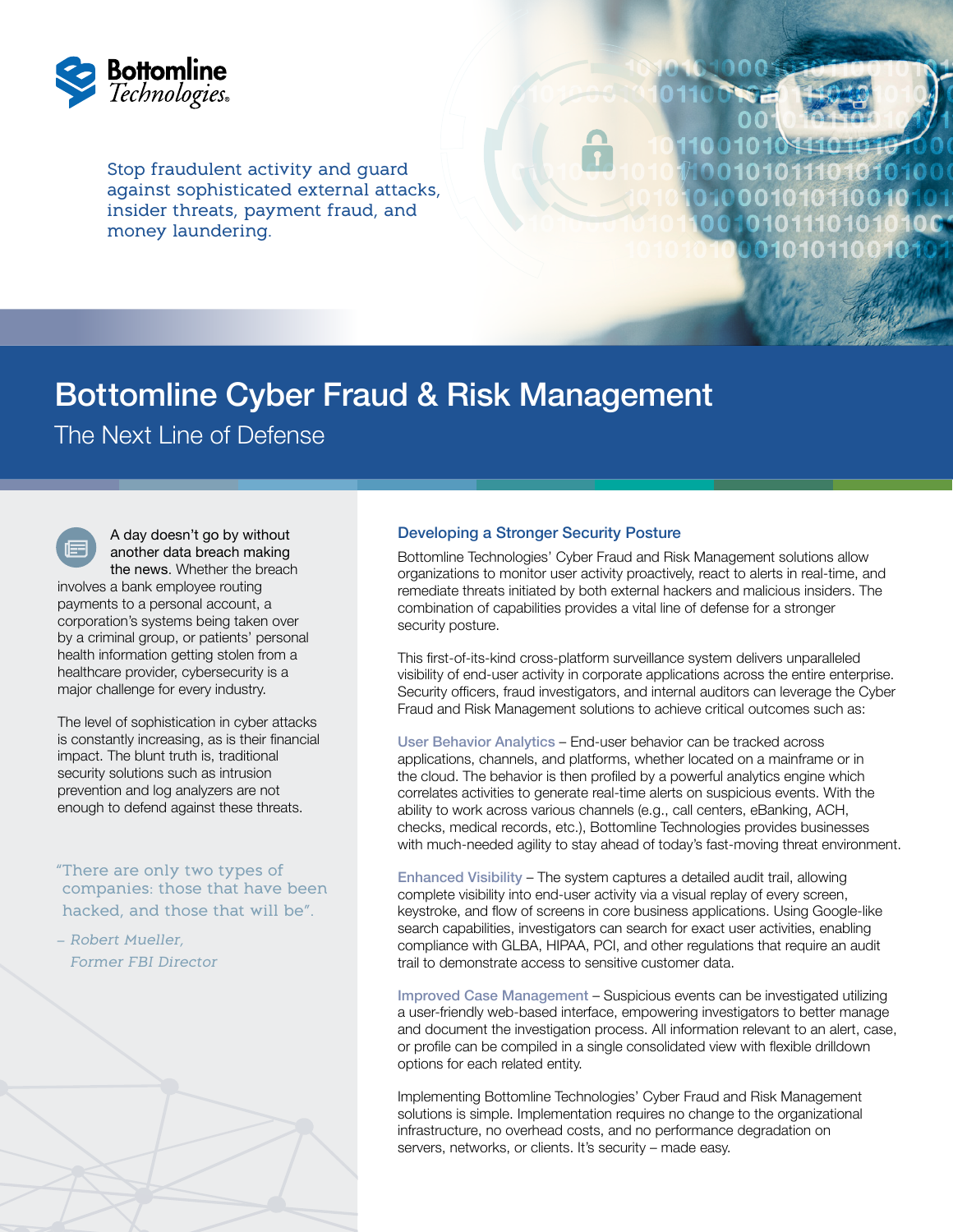

Stop fraudulent activity and guard against sophisticated external attacks, insider threats, payment fraud, and money laundering.



# Bottomline Cyber Fraud & Risk Management

The Next Line of Defense

A day doesn't go by without another data breach making the news. Whether the breach involves a bank employee routing payments to a personal account, a corporation's systems being taken over by a criminal group, or patients' personal health information getting stolen from a healthcare provider, cybersecurity is a major challenge for every industry.

The level of sophistication in cyber attacks is constantly increasing, as is their financial impact. The blunt truth is, traditional security solutions such as intrusion prevention and log analyzers are not enough to defend against these threats.

"There are only two types of companies: those that have been hacked, and those that will be".

– Robert Mueller, Former FBI Director

#### Developing a Stronger Security Posture

Bottomline Technologies' Cyber Fraud and Risk Management solutions allow organizations to monitor user activity proactively, react to alerts in real-time, and remediate threats initiated by both external hackers and malicious insiders. The combination of capabilities provides a vital line of defense for a stronger security posture.

This first-of-its-kind cross-platform surveillance system delivers unparalleled visibility of end-user activity in corporate applications across the entire enterprise. Security officers, fraud investigators, and internal auditors can leverage the Cyber Fraud and Risk Management solutions to achieve critical outcomes such as:

User Behavior Analytics – End-user behavior can be tracked across applications, channels, and platforms, whether located on a mainframe or in the cloud. The behavior is then profiled by a powerful analytics engine which correlates activities to generate real-time alerts on suspicious events. With the ability to work across various channels (e.g., call centers, eBanking, ACH, checks, medical records, etc.), Bottomline Technologies provides businesses with much-needed agility to stay ahead of today's fast-moving threat environment.

Enhanced Visibility – The system captures a detailed audit trail, allowing complete visibility into end-user activity via a visual replay of every screen, keystroke, and flow of screens in core business applications. Using Google-like search capabilities, investigators can search for exact user activities, enabling compliance with GLBA, HIPAA, PCI, and other regulations that require an audit trail to demonstrate access to sensitive customer data.

Improved Case Management – Suspicious events can be investigated utilizing a user-friendly web-based interface, empowering investigators to better manage and document the investigation process. All information relevant to an alert, case, or profile can be compiled in a single consolidated view with flexible drilldown options for each related entity.

Implementing Bottomline Technologies' Cyber Fraud and Risk Management solutions is simple. Implementation requires no change to the organizational infrastructure, no overhead costs, and no performance degradation on servers, networks, or clients. It's security – made easy.